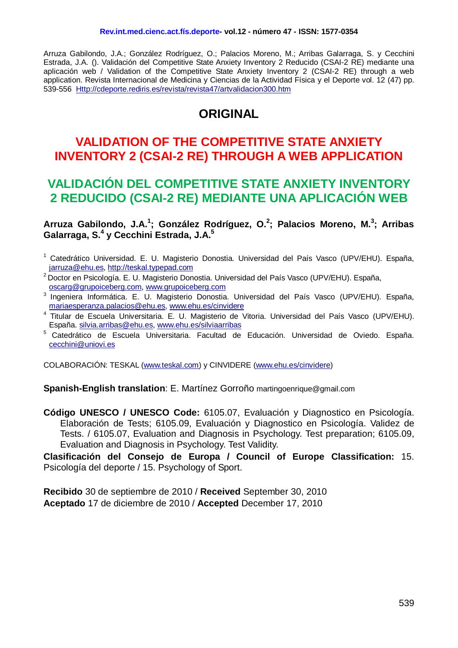Arruza Gabilondo, J.A.; González Rodríguez, O.; Palacios Moreno, M.; Arribas Galarraga, S. y Cecchini Estrada, J.A. (). Validación del Competitive State Anxiety Inventory 2 Reducido (CSAI-2 RE) mediante una aplicación web / Validation of the Competitive State Anxiety Inventory 2 (CSAI-2 RE) through a web application. Revista Internacional de Medicina y Ciencias de la Actividad Física y el Deporte vol. 12 (47) pp. 539-556 [Http://cdeporte.rediris.es/revista/revista47/artvalidacion300.htm](http://cdeporte.rediris.es/revista/revista47/artvalidacion300.htm)

# **ORIGINAL**

# **VALIDATION OF THE COMPETITIVE STATE ANXIETY INVENTORY 2 (CSAI-2 RE) THROUGH A WEB APPLICATION**

# **VALIDACIÓN DEL COMPETITIVE STATE ANXIETY INVENTORY 2 REDUCIDO (CSAI-2 RE) MEDIANTE UNA APLICACIÓN WEB**

**Arruza Gabilondo, J.A.<sup>1</sup> ; González Rodríguez, O.<sup>2</sup> ; Palacios Moreno, M.<sup>3</sup> ; Arribas Galarraga, S.<sup>4</sup> y Cecchini Estrada, J.A.<sup>5</sup>**

- <sup>1</sup> Catedrático Universidad. E. U. Magisterio Donostia. Universidad del País Vasco (UPV/EHU). España, [jarruza@ehu.es,](mailto:jarruza@ehu.es) [http://teskal.typepad.com](http://teskal.typepad.com/)
- 2 Doctor en Psicología. E. U. Magisterio Donostia. Universidad del País Vasco (UPV/EHU). España, [oscarg@grupoiceberg.com,](mailto:oscarg@grupoiceberg.com) [www.grupoiceberg.com](http://www.grupoiceberg.com/)
- 3 Ingeniera Informática. E. U. Magisterio Donostia. Universidad del País Vasco (UPV/EHU). España, [mariaesperanza.palacios@ehu.es,](mailto:mariaesperanza.palacios@ehu.es) [www.ehu.es/cinvidere](http://www.ehu.es/cinvidere)
- <sup>4</sup> Titular de Escuela Universitaria. E. U. Magisterio de Vitoria. Universidad del País Vasco (UPV/EHU). España. [silvia.arribas@ehu.es,](mailto:silvia.arribas@ehu.es) [www.ehu.es/silviaarribas](http://www.ehu.es/silviaarribas)
- <sup>5</sup> Catedrático de Escuela Universitaria. Facultad de Educación. Universidad de Oviedo. España. [cecchini@uniovi.es](mailto:cecchini@uniovi.es)

COLABORACIÓN: TESKAL [\(www.teskal.com\)](http://www.teskal.com/) y CINVIDERE [\(www.ehu.es/cinvidere\)](http://www.ehu.es/cinvidere)

**Spanish-English translation**: E. Martínez Gorroño martingoenrique@gmail.com

**Código UNESCO / UNESCO Code:** 6105.07, Evaluación y Diagnostico en Psicología. Elaboración de Tests; 6105.09, Evaluación y Diagnostico en Psicología. Validez de Tests. / 6105.07, Evaluation and Diagnosis in Psychology. Test preparation; 6105.09, Evaluation and Diagnosis in Psychology. Test Validity.

**Clasificación del Consejo de Europa / Council of Europe Classification:** 15. Psicología del deporte / 15. Psychology of Sport.

**Recibido** 30 de septiembre de 2010 / **Received** September 30, 2010 **Aceptado** 17 de diciembre de 2010 / **Accepted** December 17, 2010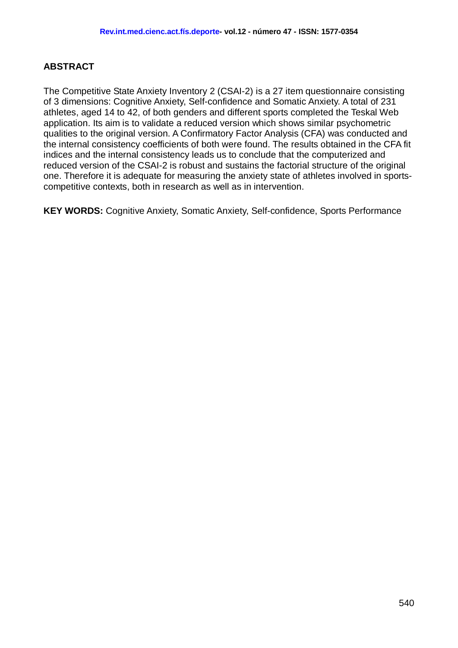#### **ABSTRACT**

The Competitive State Anxiety Inventory 2 (CSAI-2) is a 27 item questionnaire consisting of 3 dimensions: Cognitive Anxiety, Self-confidence and Somatic Anxiety. A total of 231 athletes, aged 14 to 42, of both genders and different sports completed the Teskal Web application. Its aim is to validate a reduced version which shows similar psychometric qualities to the original version. A Confirmatory Factor Analysis (CFA) was conducted and the internal consistency coefficients of both were found. The results obtained in the CFA fit indices and the internal consistency leads us to conclude that the computerized and reduced version of the CSAI-2 is robust and sustains the factorial structure of the original one. Therefore it is adequate for measuring the anxiety state of athletes involved in sportscompetitive contexts, both in research as well as in intervention.

**KEY WORDS:** Cognitive Anxiety, Somatic Anxiety, Self-confidence, Sports Performance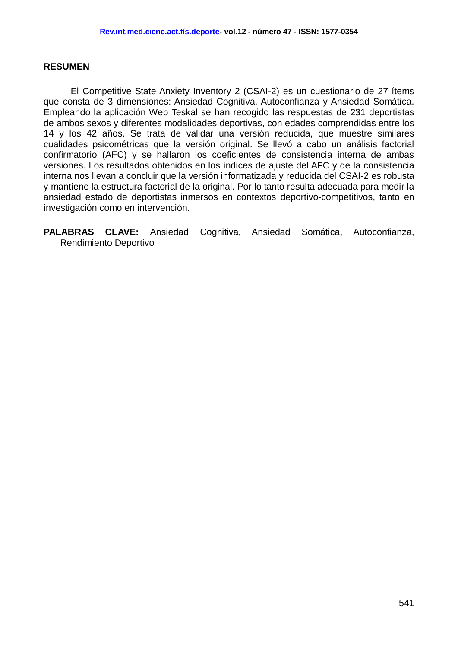#### **RESUMEN**

El Competitive State Anxiety Inventory 2 (CSAI-2) es un cuestionario de 27 ítems que consta de 3 dimensiones: Ansiedad Cognitiva, Autoconfianza y Ansiedad Somática. Empleando la aplicación Web Teskal se han recogido las respuestas de 231 deportistas de ambos sexos y diferentes modalidades deportivas, con edades comprendidas entre los 14 y los 42 años. Se trata de validar una versión reducida, que muestre similares cualidades psicométricas que la versión original. Se llevó a cabo un análisis factorial confirmatorio (AFC) y se hallaron los coeficientes de consistencia interna de ambas versiones. Los resultados obtenidos en los índices de ajuste del AFC y de la consistencia interna nos llevan a concluir que la versión informatizada y reducida del CSAI-2 es robusta y mantiene la estructura factorial de la original. Por lo tanto resulta adecuada para medir la ansiedad estado de deportistas inmersos en contextos deportivo-competitivos, tanto en investigación como en intervención.

**PALABRAS CLAVE:** Ansiedad Cognitiva, Ansiedad Somática, Autoconfianza, Rendimiento Deportivo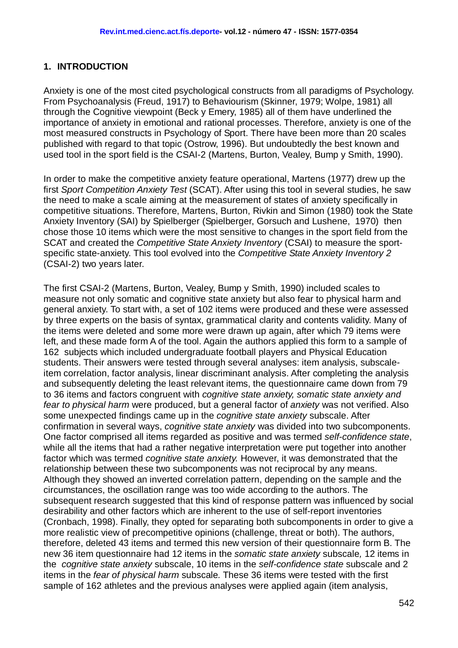#### **1. INTRODUCTION**

Anxiety is one of the most cited psychological constructs from all paradigms of Psychology. From Psychoanalysis (Freud, 1917) to Behaviourism (Skinner, 1979; Wolpe, 1981) all through the Cognitive viewpoint (Beck y Emery, 1985) all of them have underlined the importance of anxiety in emotional and rational processes. Therefore, anxiety is one of the most measured constructs in Psychology of Sport. There have been more than 20 scales published with regard to that topic (Ostrow, 1996). But undoubtedly the best known and used tool in the sport field is the CSAI-2 (Martens, Burton, Vealey, Bump y Smith, 1990).

In order to make the competitive anxiety feature operational, Martens (1977) drew up the first *Sport Competition Anxiety Test* (SCAT). After using this tool in several studies, he saw the need to make a scale aiming at the measurement of states of anxiety specifically in competitive situations. Therefore, Martens, Burton, Rivkin and Simon (1980) took the State Anxiety Inventory (SAI) by Spielberger (Spielberger, Gorsuch and Lushene, 1970) then chose those 10 items which were the most sensitive to changes in the sport field from the SCAT and created the *Competitive State Anxiety Inventory* (CSAI) to measure the sportspecific state-anxiety. This tool evolved into the *Competitive State Anxiety Inventory 2* (CSAI-2) two years later.

The first CSAI-2 (Martens, Burton, Vealey, Bump y Smith, 1990) included scales to measure not only somatic and cognitive state anxiety but also fear to physical harm and general anxiety. To start with, a set of 102 items were produced and these were assessed by three experts on the basis of syntax, grammatical clarity and contents validity. Many of the items were deleted and some more were drawn up again, after which 79 items were left, and these made form A of the tool. Again the authors applied this form to a sample of 162 subjects which included undergraduate football players and Physical Education students. Their answers were tested through several analyses: item analysis, subscaleitem correlation, factor analysis, linear discriminant analysis. After completing the analysis and subsequently deleting the least relevant items, the questionnaire came down from 79 to 36 items and factors congruent with *cognitive state anxiety, somatic state anxiety and fear to physical harm* were produced, but a general factor of *anxiety* was not verified. Also some unexpected findings came up in the *cognitive state anxiety* subscale. After confirmation in several ways, *cognitive state anxiety* was divided into two subcomponents. One factor comprised all items regarded as positive and was termed *self-confidence state*, while all the items that had a rather negative interpretation were put together into another factor which was termed *cognitive state anxiety.* However, it was demonstrated that the relationship between these two subcomponents was not reciprocal by any means. Although they showed an inverted correlation pattern, depending on the sample and the circumstances, the oscillation range was too wide according to the authors. The subsequent research suggested that this kind of response pattern was influenced by social desirability and other factors which are inherent to the use of self-report inventories (Cronbach, 1998). Finally, they opted for separating both subcomponents in order to give a more realistic view of precompetitive opinions (challenge, threat or both). The authors, therefore, deleted 43 items and termed this new version of their questionnaire form B. The new 36 item questionnaire had 12 items in the *somatic state anxiety* subscale*,* 12 items in the *cognitive state anxiety* subscale, 10 items in the *self-confidence state* subscale and 2 items in the *fear of physical harm* subscale*.* These 36 items were tested with the first sample of 162 athletes and the previous analyses were applied again (item analysis,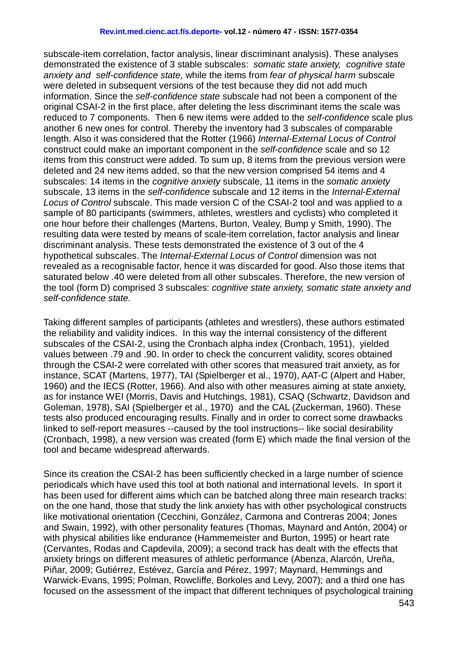#### **Rev.int.med.cienc.act.fís.deporte- vol.12 - número 47 - ISSN: 1577-0354**

subscale-item correlation, factor analysis, linear discriminant analysis). These analyses demonstrated the existence of 3 stable subscales: *somatic state anxiety, cognitive state anxiety and self-confidence state,* while the items from *fear of physical harm* subscale were deleted in subsequent versions of the test because they did not add much information. Since the *self-confidence state* subscale had not been a component of the original CSAI-2 in the first place, after deleting the less discriminant items the scale was reduced to 7 components. Then 6 new items were added to the *self-confidence* scale plus another 6 new ones for control. Thereby the inventory had 3 subscales of comparable length. Also it was considered that the Rotter (1966) *Internal-External Locus of Control*  construct could make an important component in the *self-confidence* scale and so 12 items from this construct were added. To sum up, 8 items from the previous version were deleted and 24 new items added, so that the new version comprised 54 items and 4 subscales: 14 items in the *cognitive anxiety* subscale, 11 items in the *somatic anxiety* subscale, 13 items in the *self-confidence* subscale and 12 items in the *Internal-External Locus of Control* subscale. This made version C of the CSAI-2 tool and was applied to a sample of 80 participants (swimmers, athletes, wrestlers and cyclists) who completed it one hour before their challenges (Martens, Burton, Vealey, Bump y Smith, 1990). The resulting data were tested by means of scale-item correlation, factor analysis and linear discriminant analysis. These tests demonstrated the existence of 3 out of the 4 hypothetical subscales. The *Internal-External Locus of Control* dimension was not revealed as a recognisable factor, hence it was discarded for good. Also those items that saturated below .40 were deleted from all other subscales. Therefore, the new version of the tool (form D) comprised 3 subscales: *cognitive state anxiety, somatic state anxiety and self-confidence state.*

Taking different samples of participants (athletes and wrestlers), these authors estimated the reliability and validity indices. In this way the internal consistency of the different subscales of the CSAI-2, using the Cronbach alpha index (Cronbach, 1951), yielded values between .79 and .90. In order to check the concurrent validity, scores obtained through the CSAI-2 were correlated with other scores that measured trait anxiety, as for instance, SCAT (Martens, 1977), TAI (Spielberger et al., 1970), AAT-C (Alpert and Haber, 1960) and the IECS (Rotter, 1966). And also with other measures aiming at state anxiety, as for instance WEI (Morris, Davis and Hutchings, 1981), CSAQ (Schwartz, Davidson and Goleman, 1978), SAI (Spielberger et al., 1970) and the CAL (Zuckerman, 1960). These tests also produced encouraging results. Finally and in order to correct some drawbacks linked to self-report measures --caused by the tool instructions-- like social desirability (Cronbach, 1998), a new version was created (form E) which made the final version of the tool and became widespread afterwards.

Since its creation the CSAI-2 has been sufficiently checked in a large number of science periodicals which have used this tool at both national and international levels. In sport it has been used for different aims which can be batched along three main research tracks: on the one hand, those that study the link anxiety has with other psychological constructs like motivational orientation (Cecchini, González, Carmona and Contreras 2004; Jones and Swain, 1992), with other personality features (Thomas, Maynard and Antón, 2004) or with physical abilities like endurance (Hammemeister and Burton, 1995) or heart rate (Cervantes, Rodas and Capdevila, 2009); a second track has dealt with the effects that anxiety brings on different measures of athletic performance (Abenza, Alarcón, Ureña, Piñar, 2009; Gutiérrez, Estévez, García and Pérez, 1997; Maynard, Hemmings and Warwick-Evans, 1995; Polman, Rowcliffe, Borkoles and Levy, 2007); and a third one has focused on the assessment of the impact that different techniques of psychological training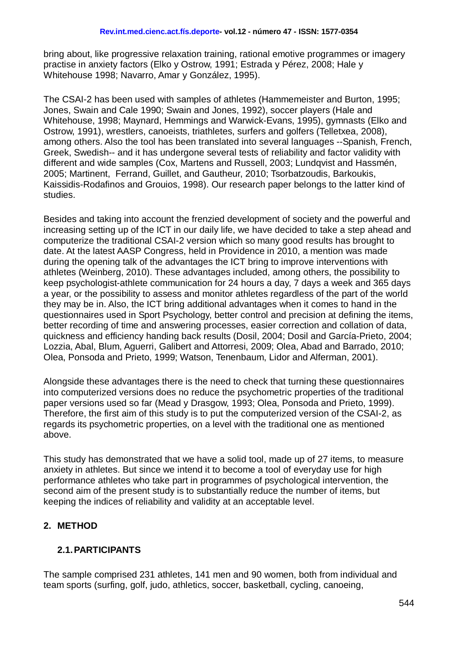bring about, like progressive relaxation training, rational emotive programmes or imagery practise in anxiety factors (Elko y Ostrow, 1991; Estrada y Pérez, 2008; Hale y Whitehouse 1998; Navarro, Amar y González, 1995).

The CSAI-2 has been used with samples of athletes (Hammemeister and Burton, 1995; Jones, Swain and Cale 1990; Swain and Jones, 1992), soccer players (Hale and Whitehouse, 1998; Maynard, Hemmings and Warwick-Evans, 1995), gymnasts (Elko and Ostrow, 1991), wrestlers, canoeists, triathletes, surfers and golfers (Telletxea, 2008), among others. Also the tool has been translated into several languages --Spanish, French, Greek, Swedish-- and it has undergone several tests of reliability and factor validity with different and wide samples (Cox, Martens and Russell, 2003; Lundqvist and Hassmén, 2005; Martinent, Ferrand, Guillet, and Gautheur, 2010; Tsorbatzoudis, Barkoukis, Kaissidis-Rodafinos and Grouios, 1998). Our research paper belongs to the latter kind of studies.

Besides and taking into account the frenzied development of society and the powerful and increasing setting up of the ICT in our daily life, we have decided to take a step ahead and computerize the traditional CSAI-2 version which so many good results has brought to date. At the latest AASP Congress, held in Providence in 2010, a mention was made during the opening talk of the advantages the ICT bring to improve interventions with athletes (Weinberg, 2010). These advantages included, among others, the possibility to keep psychologist-athlete communication for 24 hours a day, 7 days a week and 365 days a year, or the possibility to assess and monitor athletes regardless of the part of the world they may be in. Also, the ICT bring additional advantages when it comes to hand in the questionnaires used in Sport Psychology, better control and precision at defining the items, better recording of time and answering processes, easier correction and collation of data, quickness and efficiency handing back results (Dosil, 2004; Dosil and García-Prieto, 2004; Lozzia, Abal, Blum, Aguerri, Galibert and Attorresi, 2009; Olea, Abad and Barrado, 2010; Olea, Ponsoda and Prieto, 1999; Watson, Tenenbaum, Lidor and Alferman, 2001).

Alongside these advantages there is the need to check that turning these questionnaires into computerized versions does no reduce the psychometric properties of the traditional paper versions used so far (Mead y Drasgow, 1993; Olea, Ponsoda and Prieto, 1999). Therefore, the first aim of this study is to put the computerized version of the CSAI-2, as regards its psychometric properties, on a level with the traditional one as mentioned above.

This study has demonstrated that we have a solid tool, made up of 27 items, to measure anxiety in athletes. But since we intend it to become a tool of everyday use for high performance athletes who take part in programmes of psychological intervention, the second aim of the present study is to substantially reduce the number of items, but keeping the indices of reliability and validity at an acceptable level.

#### **2. METHOD**

#### **2.1.PARTICIPANTS**

The sample comprised 231 athletes, 141 men and 90 women, both from individual and team sports (surfing, golf, judo, athletics, soccer, basketball, cycling, canoeing,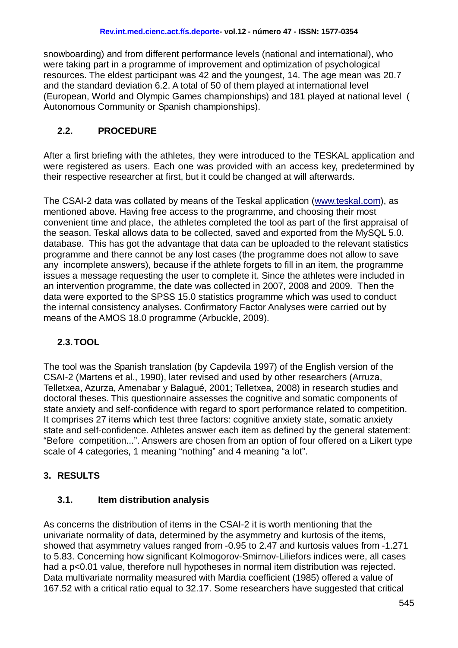snowboarding) and from different performance levels (national and international), who were taking part in a programme of improvement and optimization of psychological resources. The eldest participant was 42 and the youngest, 14. The age mean was 20.7 and the standard deviation 6.2. A total of 50 of them played at international level (European, World and Olympic Games championships) and 181 played at national level ( Autonomous Community or Spanish championships).

### **2.2. PROCEDURE**

After a first briefing with the athletes, they were introduced to the TESKAL application and were registered as users. Each one was provided with an access key, predetermined by their respective researcher at first, but it could be changed at will afterwards.

The CSAI-2 data was collated by means of the Teskal application [\(www.teskal.com\)](http://www.teskal.com/), as mentioned above. Having free access to the programme, and choosing their most convenient time and place, the athletes completed the tool as part of the first appraisal of the season. Teskal allows data to be collected, saved and exported from the MySQL 5.0. database. This has got the advantage that data can be uploaded to the relevant statistics programme and there cannot be any lost cases (the programme does not allow to save any incomplete answers), because if the athlete forgets to fill in an item, the programme issues a message requesting the user to complete it. Since the athletes were included in an intervention programme, the date was collected in 2007, 2008 and 2009. Then the data were exported to the SPSS 15.0 statistics programme which was used to conduct the internal consistency analyses. Confirmatory Factor Analyses were carried out by means of the AMOS 18.0 programme (Arbuckle, 2009).

## **2.3.TOOL**

The tool was the Spanish translation (by Capdevila 1997) of the English version of the CSAI-2 (Martens et al., 1990), later revised and used by other researchers (Arruza, Telletxea, Azurza, Amenabar y Balagué, 2001; Telletxea, 2008) in research studies and doctoral theses. This questionnaire assesses the cognitive and somatic components of state anxiety and self-confidence with regard to sport performance related to competition. It comprises 27 items which test three factors: cognitive anxiety state, somatic anxiety state and self-confidence. Athletes answer each item as defined by the general statement: "Before competition...". Answers are chosen from an option of four offered on a Likert type scale of 4 categories, 1 meaning "nothing" and 4 meaning "a lot".

## **3. RESULTS**

#### **3.1. Item distribution analysis**

As concerns the distribution of items in the CSAI-2 it is worth mentioning that the univariate normality of data, determined by the asymmetry and kurtosis of the items, showed that asymmetry values ranged from -0.95 to 2.47 and kurtosis values from -1.271 to 5.83. Concerning how significant Kolmogorov-Smirnov-Liliefors indices were, all cases had a p<0.01 value, therefore null hypotheses in normal item distribution was rejected. Data multivariate normality measured with Mardia coefficient (1985) offered a value of 167.52 with a critical ratio equal to 32.17. Some researchers have suggested that critical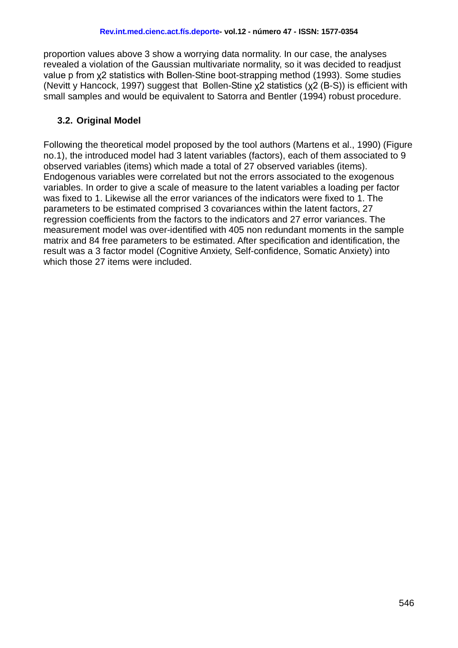proportion values above 3 show a worrying data normality. In our case, the analyses revealed a violation of the Gaussian multivariate normality, so it was decided to readjust value p from χ2 statistics with Bollen-Stine boot-strapping method (1993). Some studies (Nevitt y Hancock, 1997) suggest that Bollen-Stine χ2 statistics (χ2 (B-S)) is efficient with small samples and would be equivalent to Satorra and Bentler (1994) robust procedure.

#### **3.2. Original Model**

Following the theoretical model proposed by the tool authors (Martens et al., 1990) (Figure no.1), the introduced model had 3 latent variables (factors), each of them associated to 9 observed variables (items) which made a total of 27 observed variables (items). Endogenous variables were correlated but not the errors associated to the exogenous variables. In order to give a scale of measure to the latent variables a loading per factor was fixed to 1. Likewise all the error variances of the indicators were fixed to 1. The parameters to be estimated comprised 3 covariances within the latent factors, 27 regression coefficients from the factors to the indicators and 27 error variances. The measurement model was over-identified with 405 non redundant moments in the sample matrix and 84 free parameters to be estimated. After specification and identification, the result was a 3 factor model (Cognitive Anxiety, Self-confidence, Somatic Anxiety) into which those 27 items were included.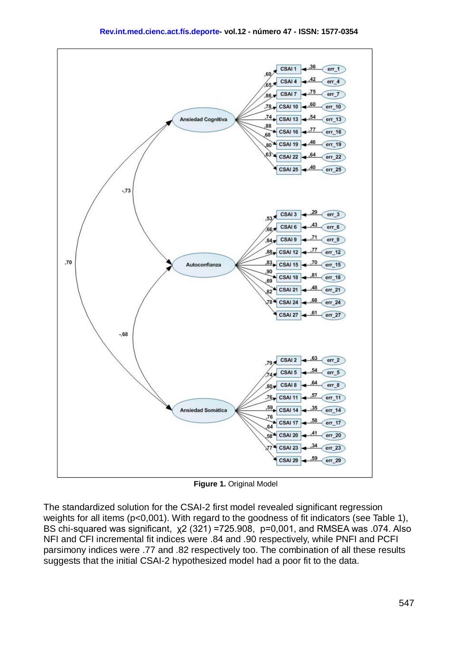

**Figure 1.** Original Model

The standardized solution for the CSAI-2 first model revealed significant regression weights for all items (p<0,001). With regard to the goodness of fit indicators (see Table 1). BS chi-squared was significant, χ2 (321) =725.908, p=0,001, and RMSEA was .074. Also NFI and CFI incremental fit indices were .84 and .90 respectively, while PNFI and PCFI parsimony indices were .77 and .82 respectively too. The combination of all these results suggests that the initial CSAI-2 hypothesized model had a poor fit to the data.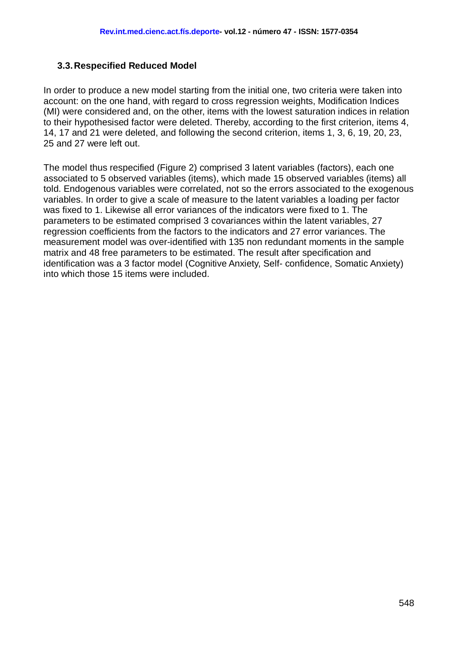#### **3.3.Respecified Reduced Model**

In order to produce a new model starting from the initial one, two criteria were taken into account: on the one hand, with regard to cross regression weights, Modification Indices (MI) were considered and, on the other, items with the lowest saturation indices in relation to their hypothesised factor were deleted. Thereby, according to the first criterion, items 4, 14, 17 and 21 were deleted, and following the second criterion, items 1, 3, 6, 19, 20, 23, 25 and 27 were left out.

The model thus respecified (Figure 2) comprised 3 latent variables (factors), each one associated to 5 observed variables (items), which made 15 observed variables (items) all told. Endogenous variables were correlated, not so the errors associated to the exogenous variables. In order to give a scale of measure to the latent variables a loading per factor was fixed to 1. Likewise all error variances of the indicators were fixed to 1. The parameters to be estimated comprised 3 covariances within the latent variables, 27 regression coefficients from the factors to the indicators and 27 error variances. The measurement model was over-identified with 135 non redundant moments in the sample matrix and 48 free parameters to be estimated. The result after specification and identification was a 3 factor model (Cognitive Anxiety, Self- confidence, Somatic Anxiety) into which those 15 items were included.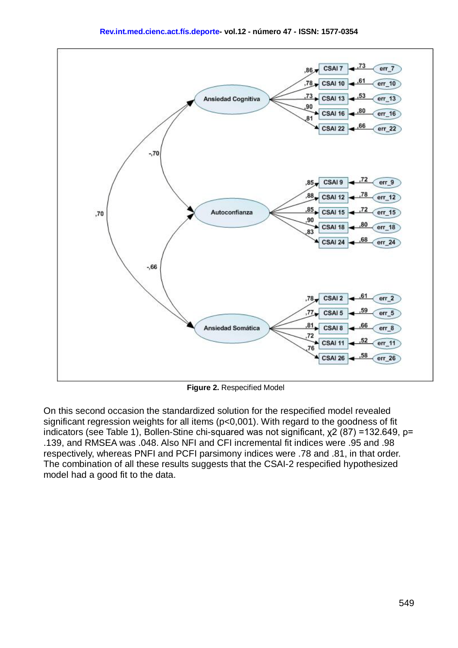



**Figure 2.** Respecified Model

On this second occasion the standardized solution for the respecified model revealed significant regression weights for all items (p<0,001). With regard to the goodness of fit indicators (see Table 1), Bollen-Stine chi-squared was not significant, χ2 (87) =132.649, p= .139, and RMSEA was .048. Also NFI and CFI incremental fit indices were .95 and .98 respectively, whereas PNFI and PCFI parsimony indices were .78 and .81, in that order. The combination of all these results suggests that the CSAI-2 respecified hypothesized model had a good fit to the data.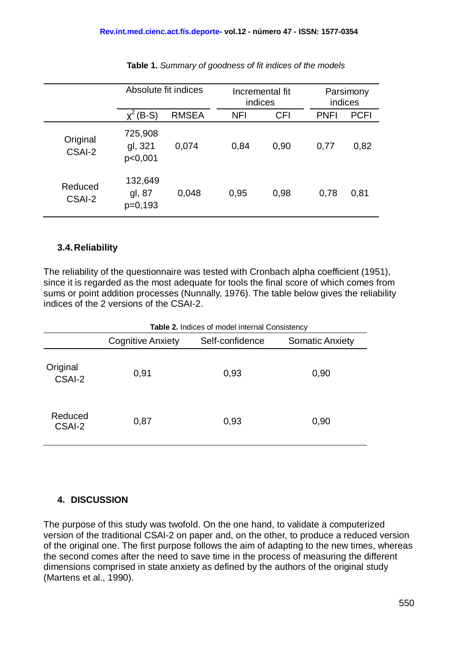|                    | Absolute fit indices           |              | Incremental fit<br>indices |            | Parsimony<br>indices |             |
|--------------------|--------------------------------|--------------|----------------------------|------------|----------------------|-------------|
|                    | $(B-S)$                        | <b>RMSEA</b> | <b>NFI</b>                 | <b>CFI</b> | <b>PNFI</b>          | <b>PCFI</b> |
| Original<br>CSAI-2 | 725,908<br>gl, 321<br>p<0,001  | 0,074        | 0,84                       | 0.90       | 0,77                 | 0,82        |
| Reduced<br>CSAI-2  | 132,649<br>gl, 87<br>$p=0,193$ | 0,048        | 0,95                       | 0,98       | 0,78                 | 0,81        |

| Table 1. Summary of goodness of fit indices of the models |  |
|-----------------------------------------------------------|--|
|-----------------------------------------------------------|--|

### **3.4.Reliability**

The reliability of the questionnaire was tested with Cronbach alpha coefficient (1951), since it is regarded as the most adequate for tools the final score of which comes from sums or point addition processes (Nunnally, 1976). The table below gives the reliability indices of the 2 versions of the CSAI-2.

| Table 2. Indices of model internal Consistency |                          |                 |                        |  |  |  |
|------------------------------------------------|--------------------------|-----------------|------------------------|--|--|--|
|                                                | <b>Cognitive Anxiety</b> | Self-confidence | <b>Somatic Anxiety</b> |  |  |  |
| Original<br>CSAI-2                             | 0,91                     | 0,93            | 0,90                   |  |  |  |
| Reduced<br>CSAI-2                              | 0,87                     | 0,93            | 0,90                   |  |  |  |

## **4. DISCUSSION**

The purpose of this study was twofold. On the one hand, to validate a computerized version of the traditional CSAI-2 on paper and, on the other, to produce a reduced version of the original one. The first purpose follows the aim of adapting to the new times, whereas the second comes after the need to save time in the process of measuring the different dimensions comprised in state anxiety as defined by the authors of the original study (Martens et al., 1990).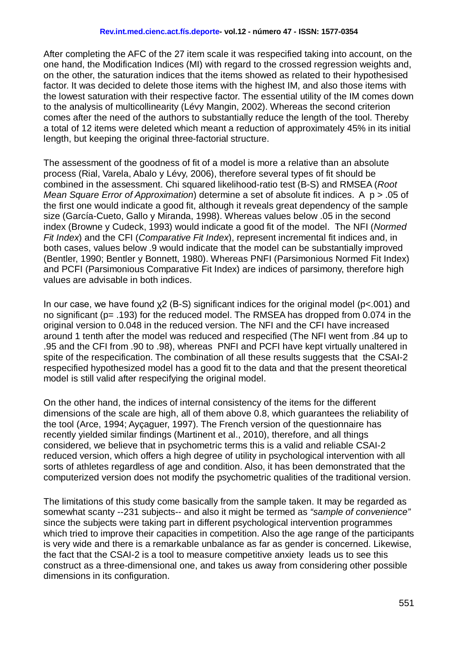After completing the AFC of the 27 item scale it was respecified taking into account, on the one hand, the Modification Indices (MI) with regard to the crossed regression weights and, on the other, the saturation indices that the items showed as related to their hypothesised factor. It was decided to delete those items with the highest IM, and also those items with the lowest saturation with their respective factor. The essential utility of the IM comes down to the analysis of multicollinearity (Lévy Mangin, 2002). Whereas the second criterion comes after the need of the authors to substantially reduce the length of the tool. Thereby a total of 12 items were deleted which meant a reduction of approximately 45% in its initial length, but keeping the original three-factorial structure.

The assessment of the goodness of fit of a model is more a relative than an absolute process (Rial, Varela, Abalo y Lévy, 2006), therefore several types of fit should be combined in the assessment. Chi squared likelihood-ratio test (B-S) and RMSEA (*Root Mean Square Error of Approximation*) determine a set of absolute fit indices. A p > .05 of the first one would indicate a good fit, although it reveals great dependency of the sample size (García-Cueto, Gallo y Miranda, 1998). Whereas values below .05 in the second index (Browne y Cudeck, 1993) would indicate a good fit of the model. The NFI (*Normed Fit Index*) and the CFI (*Comparative Fit Index*), represent incremental fit indices and, in both cases, values below .9 would indicate that the model can be substantially improved (Bentler, 1990; Bentler y Bonnett, 1980). Whereas PNFI (Parsimonious Normed Fit Index) and PCFI (Parsimonious Comparative Fit Index) are indices of parsimony, therefore high values are advisable in both indices.

In our case, we have found χ2 (B-S) significant indices for the original model (p<.001) and no significant (p= .193) for the reduced model. The RMSEA has dropped from 0.074 in the original version to 0.048 in the reduced version. The NFI and the CFI have increased around 1 tenth after the model was reduced and respecified (The NFI went from .84 up to .95 and the CFI from .90 to .98), whereas PNFI and PCFI have kept virtually unaltered in spite of the respecification. The combination of all these results suggests that the CSAI-2 respecified hypothesized model has a good fit to the data and that the present theoretical model is still valid after respecifying the original model.

On the other hand, the indices of internal consistency of the items for the different dimensions of the scale are high, all of them above 0.8, which guarantees the reliability of the tool (Arce, 1994; Ayçaguer, 1997). The French version of the questionnaire has recently yielded similar findings (Martinent et al., 2010), therefore, and all things considered, we believe that in psychometric terms this is a valid and reliable CSAI-2 reduced version, which offers a high degree of utility in psychological intervention with all sorts of athletes regardless of age and condition. Also, it has been demonstrated that the computerized version does not modify the psychometric qualities of the traditional version.

The limitations of this study come basically from the sample taken. It may be regarded as somewhat scanty --231 subjects-- and also it might be termed as *"sample of convenience"* since the subjects were taking part in different psychological intervention programmes which tried to improve their capacities in competition. Also the age range of the participants is very wide and there is a remarkable unbalance as far as gender is concerned. Likewise, the fact that the CSAI-2 is a tool to measure competitive anxiety leads us to see this construct as a three-dimensional one, and takes us away from considering other possible dimensions in its configuration.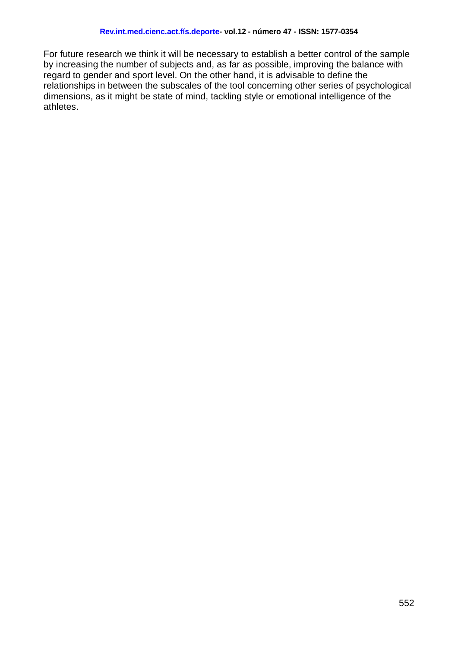For future research we think it will be necessary to establish a better control of the sample by increasing the number of subjects and, as far as possible, improving the balance with regard to gender and sport level. On the other hand, it is advisable to define the relationships in between the subscales of the tool concerning other series of psychological dimensions, as it might be state of mind, tackling style or emotional intelligence of the athletes.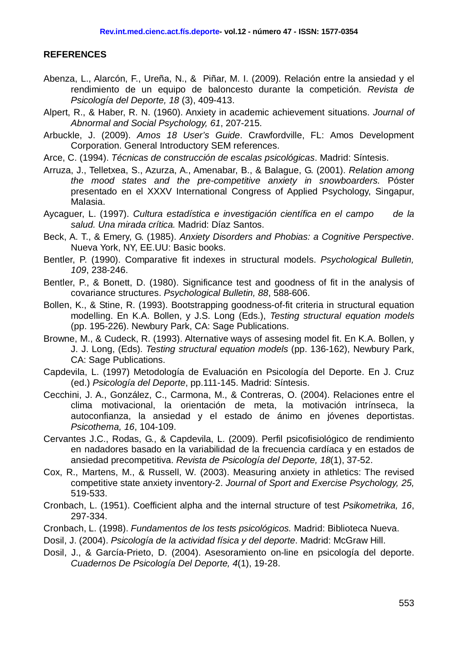#### **REFERENCES**

- Abenza, L., Alarcón, F., Ureña, N., & Piñar, M. I. (2009). Relación entre la ansiedad y el rendimiento de un equipo de baloncesto durante la competición. *Revista de Psicología del Deporte, 18* (3), 409-413.
- Alpert, R., & Haber, R. N. (1960). Anxiety in academic achievement situations. *Journal of Abnormal and Social Psychology, 61*, 207-215.
- Arbuckle, J. (2009). *Amos 18 User's Guide*. Crawfordville, FL: Amos Development Corporation. General Introductory SEM references.
- Arce, C. (1994). *Técnicas de construcción de escalas psicológicas*. Madrid: Síntesis.
- Arruza, J., Telletxea, S., Azurza, A., Amenabar, B., & Balague, G. (2001). *Relation among the mood states and the pre-competitive anxiety in snowboarders.* Póster presentado en el XXXV International Congress of Applied Psychology, Singapur, Malasia.
- Aycaguer, L. (1997). *Cultura estadística e investigación científica en el campo de la salud. Una mirada crítica.* Madrid: Díaz Santos.
- Beck, A. T., & Emery, G. (1985). *Anxiety Disorders and Phobias: a Cognitive Perspective*. Nueva York, NY, EE.UU: Basic books.
- Bentler, P. (1990). Comparative fit indexes in structural models. *Psychological Bulletin, 109*, 238-246.
- Bentler, P., & Bonett, D. (1980). Significance test and goodness of fit in the analysis of covariance structures. *Psychological Bulletin, 88*, 588-606.
- Bollen, K., & Stine, R. (1993). Bootstrapping goodness-of-fit criteria in structural equation modelling. En K.A. Bollen, y J.S. Long (Eds.), *Testing structural equation models* (pp. 195-226). Newbury Park, CA: Sage Publications.
- Browne, M., & Cudeck, R. (1993). Alternative ways of assesing model fit. En K.A. Bollen, y J. J. Long, (Eds). *Testing structural equation models* (pp. 136-162), Newbury Park, CA: Sage Publications.
- Capdevila, L. (1997) Metodología de Evaluación en Psicología del Deporte. En J. Cruz (ed.) *Psicología del Deporte*, pp.111-145. Madrid: Síntesis.
- Cecchini, J. A., González, C., Carmona, M., & Contreras, O. (2004). Relaciones entre el clima motivacional, la orientación de meta, la motivación intrínseca, la autoconfianza, la ansiedad y el estado de ánimo en jóvenes deportistas. *Psicothema, 16*, 104-109.
- Cervantes J.C., Rodas, G., & Capdevila, L. (2009). Perfil psicofisiológico de rendimiento en nadadores basado en la variabilidad de la frecuencia cardíaca y en estados de ansiedad precompetitiva. *Revista de Psicología del Deporte, 18*(1), 37-52.
- Cox, R., Martens, M., & Russell, W. (2003). Measuring anxiety in athletics: The revised competitive state anxiety inventory-2. *Journal of Sport and Exercise Psychology, 25,* 519-533.
- Cronbach, L. (1951). Coefficient alpha and the internal structure of test *Psikometrika, 16*, 297-334.
- Cronbach, L. (1998). *Fundamentos de los tests psicológicos.* Madrid: Biblioteca Nueva.
- Dosil, J. (2004). *Psicología de la actividad física y del deporte*. Madrid: McGraw Hill.
- Dosil, J., & García-Prieto, D. (2004). Asesoramiento on-line en psicología del deporte. *Cuadernos De Psicología Del Deporte, 4*(1), 19-28.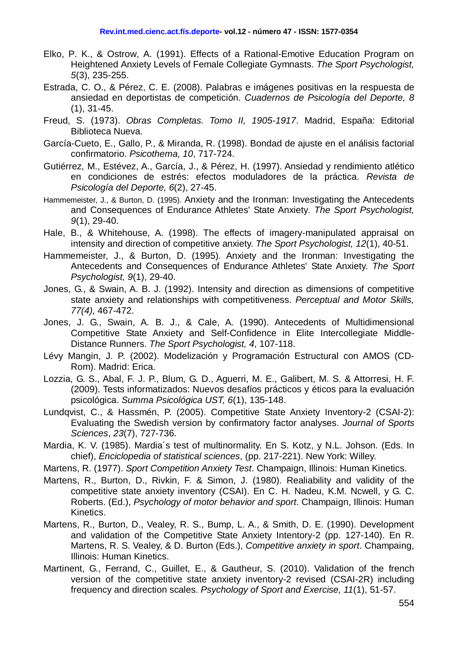- Elko, P. K., & Ostrow, A. (1991). Effects of a Rational-Emotive Education Program on Heightened Anxiety Levels of Female Collegiate Gymnasts. *The Sport Psychologist, 5*(3), 235-255.
- Estrada, C. O., & Pérez, C. E. (2008). Palabras e imágenes positivas en la respuesta de ansiedad en deportistas de competición. *Cuadernos de Psicología del Deporte, 8* (1), 31-45.
- Freud, S. (1973). *Obras Completas. Tomo II, 1905-1917*. Madrid, España: Editorial Biblioteca Nueva.
- García-Cueto, E., Gallo, P., & Miranda, R. (1998). Bondad de ajuste en el análisis factorial confirmatorio. *Psicothema, 10*, 717-724.
- Gutiérrez, M., Estévez, A., García, J., & Pérez, H. (1997). Ansiedad y rendimiento atlético en condiciones de estrés: efectos moduladores de la práctica. *Revista de Psicología del Deporte, 6*(2), 27-45.
- Hammemeister, J., & Burton, D. (1995). Anxiety and the Ironman: Investigating the Antecedents and Consequences of Endurance Athletes' State Anxiety*. The Sport Psychologist, 9*(1), 29-40.
- Hale, B., & Whitehouse, A. (1998). The effects of imagery-manipulated appraisal on intensity and direction of competitive anxiety. *The Sport Psychologist, 12*(1), 40-51.
- Hammemeister, J., & Burton, D. (1995). Anxiety and the Ironman: Investigating the Antecedents and Consequences of Endurance Athletes' State Anxiety. *The Sport Psychologist, 9*(1), 29-40.
- Jones, G., & Swain, A. B. J. (1992). Intensity and direction as dimensions of competitive state anxiety and relationships with competitiveness. *Perceptual and Motor Skills, 77(4),* 467-472.
- Jones, J. G., Swain, A. B. J., & Cale, A. (1990). Antecedents of Multidimensional Competitive State Anxiety and Self-Confidence in Elite Intercollegiate Middle-Distance Runners. *The Sport Psychologist, 4*, 107-118.
- Lévy Mangin, J. P. (2002). Modelización y Programación Estructural con AMOS (CD-Rom). Madrid: Erica.
- Lozzia, G. S., Abal, F. J. P., Blum, G. D., Aguerri, M. E., Galibert, M. S. & Attorresi, H. F. (2009). Tests informatizados: Nuevos desafíos prácticos y éticos para la evaluación psicológica. *Summa Psicológica UST, 6*(1), 135-148.
- Lundqvist, C., & Hassmén, P. (2005). Competitive State Anxiety Inventory-2 (CSAI-2): Evaluating the Swedish version by confirmatory factor analyses. *Journal of Sports Sciences*, *23*(7), 727-736.
- Mardia, K. V. (1985). Mardia´s test of multinormality. En S. Kotz, y N.L. Johson. (Eds. In chief), *Enciclopedia of statistical sciences*, (pp. 217-221). New York: Willey.
- Martens, R. (1977). *Sport Competition Anxiety Test*. Champaign, Illinois: Human Kinetics.
- Martens, R., Burton, D., Rivkin, F. & Simon, J. (1980). Realiability and validity of the competitive state anxiety inventory (CSAI). En C. H. Nadeu, K.M. Ncwell, y G. C. Roberts. (Ed.), *Psychology of motor behavior and sport*. Champaign, Illinois: Human Kinetics.
- Martens, R., Burton, D., Vealey, R. S., Bump, L. A., & Smith, D. E. (1990). Development and validation of the Competitive State Anxiety Intentory-2 (pp. 127-140). En R. Martens, R. S. Vealey, & D. Burton (Eds.), *Competitive anxiety in sport*. Champaing, Illinois: Human Kinetics.
- Martinent, G., Ferrand, C., Guillet, E., & Gautheur, S. (2010). Validation of the french version of the competitive state anxiety inventory-2 revised (CSAI-2R) including frequency and direction scales. *Psychology of Sport and Exercise, 11*(1), 51-57.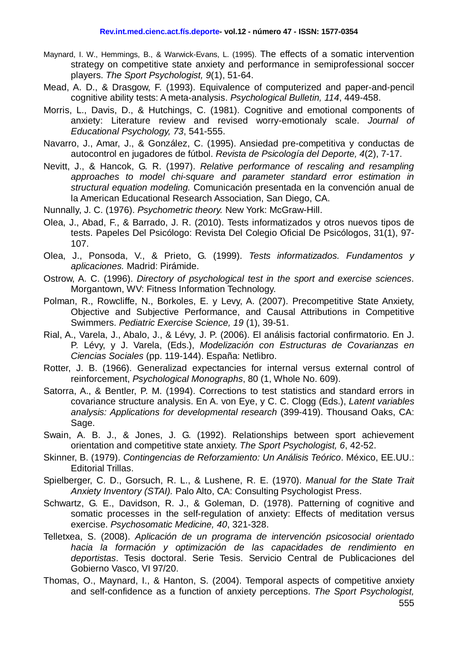- Maynard, I. W., Hemmings, B., & Warwick-Evans, L. (1995). The effects of a somatic intervention strategy on competitive state anxiety and performance in semiprofessional soccer players. *The Sport Psychologist, 9*(1), 51-64.
- Mead, A. D., & Drasgow, F. (1993). Equivalence of computerized and paper-and-pencil cognitive ability tests: A meta-analysis. *Psychological Bulletin, 114*, 449-458.
- Morris, L., Davis, D., & Hutchings, C. (1981). Cognitive and emotional components of anxiety: Literature review and revised worry-emotionaly scale. *Journal of Educational Psychology, 73*, 541-555.
- Navarro, J., Amar, J., & González, C. (1995). Ansiedad pre-competitiva y conductas de autocontrol en jugadores de fútbol. *Revista de Psicología del Deporte, 4*(2), 7-17.
- Nevitt, J., & Hancok, G. R. (1997). *Relative performance of rescaling and resampling approaches to model chi-square and parameter standard error estimation in structural equation modeling.* Comunicación presentada en la convención anual de la American Educational Research Association, San Diego, CA.
- Nunnally, J. C. (1976). *Psychometric theory.* New York: McGraw-Hill.
- Olea, J., Abad, F., & Barrado, J. R. (2010). Tests informatizados y otros nuevos tipos de tests. Papeles Del Psicólogo: Revista Del Colegio Oficial De Psicólogos, 31(1), 97- 107.
- Olea, J., Ponsoda, V., & Prieto, G. (1999). *Tests informatizados. Fundamentos y aplicaciones.* Madrid: Pirámide.
- Ostrow, A. C. (1996). *Directory of psychological test in the sport and exercise sciences*. Morgantown, WV: Fitness Information Technology.
- Polman, R., Rowcliffe, N., Borkoles, E. y Levy, A. (2007). Precompetitive State Anxiety, Objective and Subjective Performance, and Causal Attributions in Competitive Swimmers. *Pediatric Exercise Science, 19* (1), 39-51.
- Rial, A., Varela, J., Abalo, J., & Lévy, J. P. (2006). El análisis factorial confirmatorio. En J. P. Lévy, y J. Varela, (Eds.), *Modelización con Estructuras de Covarianzas en Ciencias Sociales* (pp. 119-144). España: Netlibro.
- Rotter, J. B. (1966). Generalizad expectancies for internal versus external control of reinforcement, *Psychological Monographs*, 80 (1, Whole No. 609).
- Satorra, A., & Bentler, P. M. (1994). Corrections to test statistics and standard errors in covariance structure analysis. En A. von Eye, y C. C. Clogg (Eds.), *Latent variables analysis: Applications for developmental research* (399-419). Thousand Oaks, CA: Sage.
- Swain, A. B. J., & Jones, J. G. (1992). Relationships between sport achievement orientation and competitive state anxiety. *The Sport Psychologist, 6*, 42-52.
- Skinner, B. (1979). *Contingencias de Reforzamiento: Un Análisis Teórico*. México, EE.UU.: Editorial Trillas.
- Spielberger, C. D., Gorsuch, R. L., & Lushene, R. E. (1970). *Manual for the State Trait Anxiety Inventory (STAI).* Palo Alto, CA: Consulting Psychologist Press.
- Schwartz, G. E., Davidson, R. J., & Goleman, D. (1978). Patterning of cognitive and somatic processes in the self-regulation of anxiety: Effects of meditation versus exercise. *Psychosomatic Medicine, 40*, 321-328.
- Telletxea, S. (2008). *Aplicación de un programa de intervención psicosocial orientado hacia la formación y optimización de las capacidades de rendimiento en deportistas*. Tesis doctoral. Serie Tesis. Servicio Central de Publicaciones del Gobierno Vasco, VI 97/20.
- Thomas, O., Maynard, I., & Hanton, S. (2004). Temporal aspects of competitive anxiety and self-confidence as a function of anxiety perceptions. *The Sport Psychologist,*